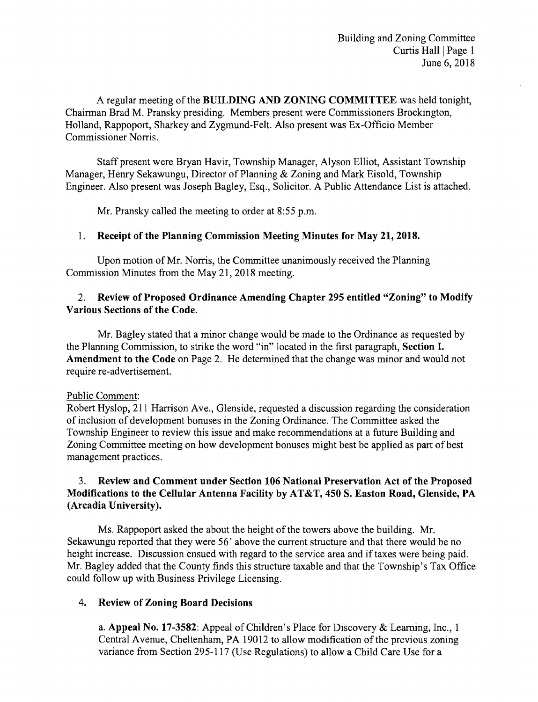A regular meeting of the BUILDING AND ZONING COMMITTEE was held tonight, Chairman Brad M. Pransky presiding. Members present were Commissioners Brockington, Holland, Rappoport, Sharkey and Zygmund-Felt. Also present was Ex-Officio Member Commissioner Norris.

Staff present were Bryan Havir, Township Manager, Alyson Elliot, Assistant Township Manager, Henry Sekawungu, Director of Planning & Zoning and Mark Eisold, Township Engineer. Also present was Joseph Bagley, Esq., Solicitor. A Public Attendance List is attached.

Mr. Pransky called the meeting to order at 8:55 p.m.

#### 1. Receipt of the Planning Commission Meeting Minutes for May 21, 2018.

Upon motion of Mr. Norris, the Committee unanimously received the Planning Commission Minutes from the May 21, 2018 meeting.

## 2. Review of Proposed Ordinance Amending Chapter 295 entitled "Zoning" to Modify Various Sections of the Code.

Mr. Bagley stated that a minor change would be made to the Ordinance as requested by the Planning Commission, to strike the word "in" located in the first paragraph, Section I. Amendment to the Code on Page 2. He determined that the change was minor and would not require re-advertisement.

#### Public Comment:

Robert Hyslop, 211 Harrison Ave., Glenside, requested a discussion regarding the consideration of inclusion of development bonuses in the Zoning Ordinance. The Committee asked the Township Engineer to review this issue and make recommendations at a future Building and Zoning Committee meeting on how development bonuses might best be applied as part of best management practices.

## 3. Review and Comment under Section 106 National Preservation Act of the Proposed Modifications to the Cellular Antenna Facility by AT&T, 450 S. Easton Road, Glenside, PA (Arcadia University).

Ms. Rappoport asked the about the height of the towers above the building. Mr. Sekawungu reported that they were 56' above the current structure and that there would be no height increase. Discussion ensued with regard to the service area and if taxes were being paid. Mr. Bagley added that the County finds this structure taxable and that the Township's Tax Office could follow up with Business Privilege Licensing.

#### 4. Review of Zoning Board Decisions

a. Appeal No. 17-3582: Appeal of Children's Place for Discovery & Learning, Inc., 1 Central Avenue, Cheltenham, PA 19012 to allow modification of the previous zoning variance from Section 295-117 (Use Regulations) to allow a Child Care Use for a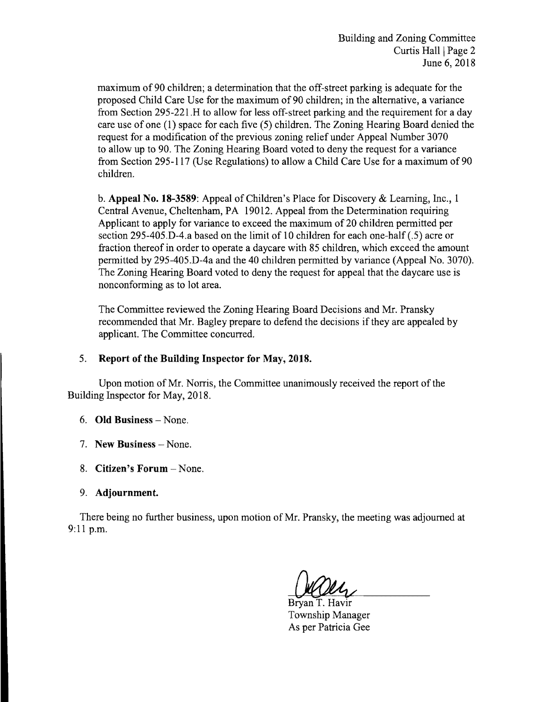maximum of 90 children; a determination that the off-street parking is adequate for the proposed Child Care Use for the maximum of90 children; in the alternative, a variance from Section 29S-22l.H to allow for less off-street parking and the requirement for a day care use of one (1) space for each five (5) children. The Zoning Hearing Board denied the request for a modification of the previous zoning relief under Appeal Number 3070 to allow up to 90. The Zoning Hearing Board voted to deny the request for a variance from Section 29S-1l7 (Use Regulations) to allow a Child Care Use for a maximum of 90 children.

b. Appeal No. 18-3589: Appeal of Children's Place for Discovery & Learning, Inc., 1 Central Avenue, Cheltenham, PA 19012. Appeal from the Determination requiring Applicant to apply for variance to exceed the maximum of 20 children permitted per section 29S-40S.D-4.a based on the limit of 10 children for each one-half (.5) acre or fraction thereof in order to operate a daycare with 85 children, which exceed the amount permitted by 29S-40S.D-4a and the 40 children permitted by variance (Appeal No. 3070). The Zoning Hearing Board voted to deny the request for appeal that the daycare use is nonconforming as to lot area.

The Committee reviewed the Zoning Hearing Board Decisions and Mr. Pransky recommended that Mr. Bagley prepare to defend the decisions if they are appealed by applicant. The Committee concurred.

# 5. Report of the Building Inspector for May, 2018.

Upon motion of Mr. Norris, the Committee unanimously received the report of the Building Inspector for May, 2018.

- 6. Old Business None.
- 7. New Business None.
- 8. Citizen's Forum None.
- 9. Adjournment.

There being no further business, upon motion of Mr. Pransky, the meeting was adjourned at 9:11 p.m.

Bryan T. Havir Township Manager As per Patricia Gee